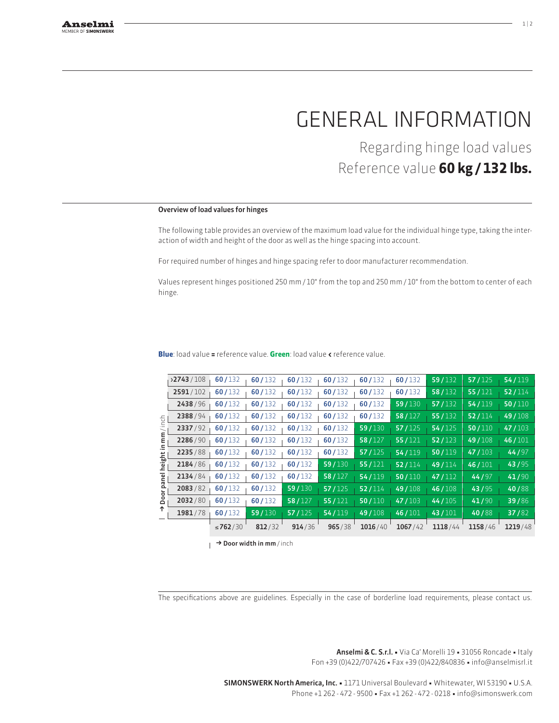# General information

Regarding hinge load values Reference value **60 kg / 132 lbs.**

## Overview of load values for hinges

The following table provides an overview of the maximum load value for the individual hinge type, taking the interaction of width and height of the door as well as the hinge spacing into account.

For required number of hinges and hinge spacing refer to door manufacturer recommendation.

Values represent hinges positioned 250 mm / 10" from the top and 250 mm / 10" from the bottom to center of each hinge.

|                                            |           | ≤762/30 | 812/32 | 914/36 | 965/38 | 1016/40 | 1067/42 | 1118/44             | 1158/46 | 1219/48 |
|--------------------------------------------|-----------|---------|--------|--------|--------|---------|---------|---------------------|---------|---------|
|                                            | 1981/78   | 60/132  | 59/130 | 57/125 | 54/119 | 49/108  | 46/101  | 43/101              | 40/88   | 37/82   |
| 등<br>$\subset$<br>ε<br>height<br>anel<br>å | 2032/80   | 60/132  | 60/132 | 58/127 | 55/121 | 50/110  | 47/103  | 44/105              | 41/90   | 39/86   |
|                                            | 2083/82   | 60/132  | 60/132 | 59/130 | 57/125 | 52/114  | 49/108  | 46/108              | 43/95   | 40/88   |
|                                            | 2134/84   | 60/132  | 60/132 | 60/132 | 58/127 | 54/119  | 50/110  | 47/112              | 44/97   | 41/90   |
|                                            | 2184/86   | 60/132  | 60/132 | 60/132 | 59/130 | 55/121  | 52/114  | 49/114              | 46/101  | 43/95   |
|                                            | 2235/88   | 60/132  | 60/132 | 60/132 | 60/132 | 57/125  | 54/119  | $\overline{50/119}$ | 47/103  | 44/97   |
|                                            | 2286/90   | 60/132  | 60/132 | 60/132 | 60/132 | 58/127  | 55/121  | 52/123              | 49/108  | 46/101  |
|                                            | 2337/92   | 60/132  | 60/132 | 60/132 | 60/132 | 59/130  | 57/125  | 54/125              | 50/110  | 47/103  |
|                                            | 2388/94   | 60/132  | 60/132 | 60/132 | 60/132 | 60/132  | 58/127  | 55/132              | 52/114  | 49/108  |
|                                            | 2438/96   | 60/132  | 60/132 | 60/132 | 60/132 | 60/132  | 59/130  | 57/132              | 54/119  | 50/110  |
|                                            | 2591/102  | 60/132  | 60/132 | 60/132 | 60/132 | 60/132  | 60/132  | 58/132              | 55/121  | 52/114  |
|                                            | >2743/108 | 60/132  | 60/132 | 60/132 | 60/132 | 60/132  | 60/132  | 59/132              | 57/125  | 54/119  |
|                                            |           |         |        |        |        |         |         |                     |         |         |

**Blue**: load value **=** reference value. **Green**: load value **<** reference value.

 $\rightarrow$  Door width in mm / inch

The specifications above are guidelines. Especially in the case of borderline load requirements, please contact us.

Anselmi & C. S.r.l. • Via Ca' Morelli 19 • 31056 Roncade • Italy Fon +39 (0)422/707426 • Fax +39 (0)422/840836 • info@anselmisrl.it